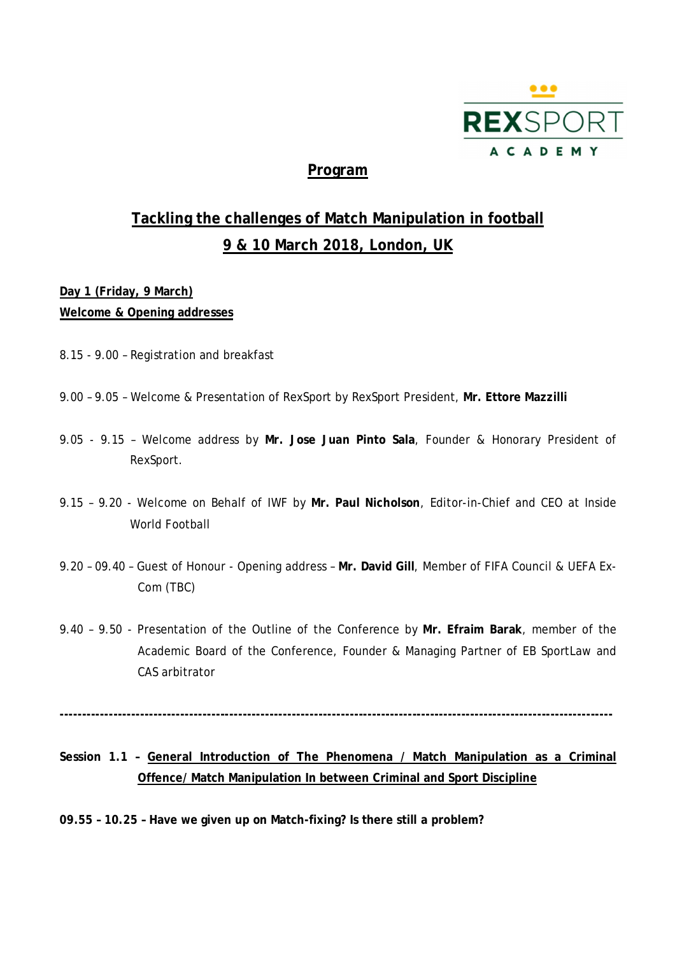

# **Program**

# **Tackling the challenges of Match Manipulation in football 9 & 10 March 2018, London, UK**

# **Day 1 (Friday, 9 March) Welcome & Opening addresses**

- 8.15 9.00 Registration and breakfast
- 9.00 9.05 Welcome & Presentation of RexSport by RexSport President, **Mr. Ettore Mazzilli**
- 9.05 9.15 Welcome address by **Mr. Jose Juan Pinto Sala**, Founder & Honorary President of RexSport.
- 9.15 9.20 Welcome on Behalf of IWF by **Mr. Paul Nicholson**, Editor-in-Chief and CEO at Inside World Football
- 9.20 09.40 Guest of Honour Opening address **Mr. David Gill**, Member of FIFA Council & UEFA Ex-Com (TBC)
- 9.40 9.50 Presentation of the Outline of the Conference by **Mr. Efraim Barak**, member of the Academic Board of the Conference, Founder & Managing Partner of EB SportLaw and CAS arbitrator

**----------------------------------------------------------------------------------------------------------------------------**

# **Session 1.1 – General Introduction of The Phenomena / Match Manipulation as a Criminal Offence/ Match Manipulation In between Criminal and Sport Discipline**

**09.55 – 10.25 – Have we given up on Match-fixing? Is there still a problem?**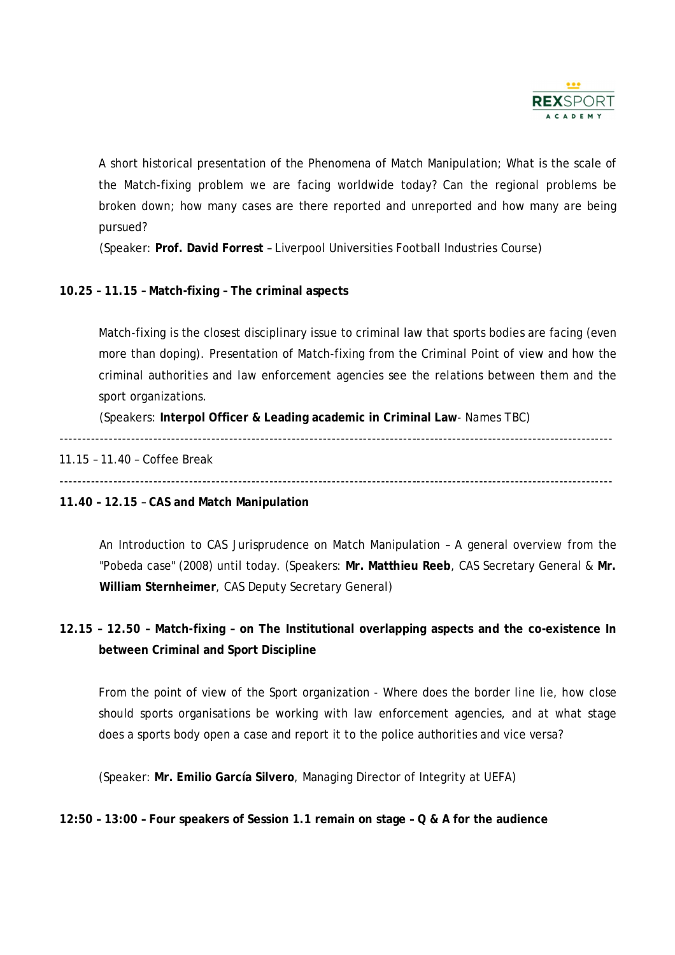

A short historical presentation of the Phenomena of Match Manipulation; What is the scale of the Match-fixing problem we are facing worldwide today? Can the regional problems be broken down; how many cases are there reported and unreported and how many are being pursued?

(Speaker: **Prof. David Forrest** – Liverpool Universities Football Industries Course)

# **10.25 – 11.15 – Match-fixing – The criminal aspects**

Match-fixing is the closest disciplinary issue to criminal law that sports bodies are facing (even more than doping). Presentation of Match-fixing from the Criminal Point of view and how the criminal authorities and law enforcement agencies see the relations between them and the sport organizations.

(Speakers: **Interpol Officer & Leading academic in Criminal Law**- Names TBC)

----------------------------------------------------------------------------------------------------------------------------

## 11.15 – 11.40 – Coffee Break

----------------------------------------------------------------------------------------------------------------------------

#### **11.40 – 12.15** – **CAS and Match Manipulation**

An Introduction to CAS Jurisprudence on Match Manipulation – A general overview from the "Pobeda case" (2008) until today. (Speakers: **Mr. Matthieu Reeb**, CAS Secretary General & **Mr. William Sternheimer**, CAS Deputy Secretary General)

# **12.15 – 12.50 – Match-fixing – on The Institutional overlapping aspects and the co-existence In between Criminal and Sport Discipline**

From the point of view of the Sport organization - Where does the border line lie, how close should sports organisations be working with law enforcement agencies, and at what stage does a sports body open a case and report it to the police authorities and vice versa?

(Speaker: **Mr. Emilio García Silvero**, Managing Director of Integrity at UEFA)

# **12:50 – 13:00 – Four speakers of Session 1.1 remain on stage – Q & A for the audience**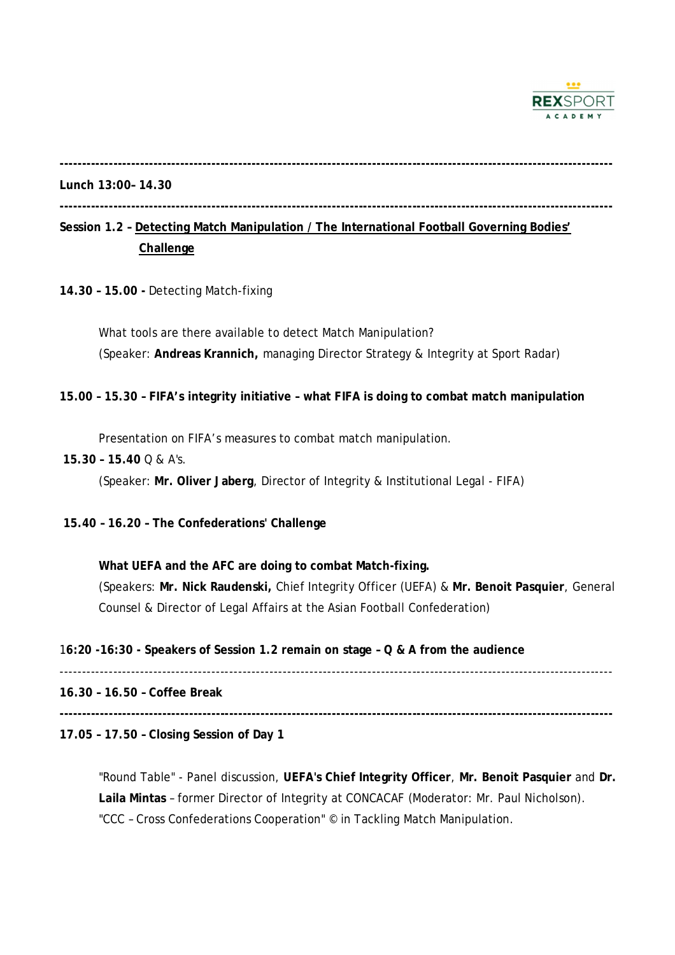

**----------------------------------------------------------------------------------------------------------------------------**

#### **Lunch 13:00– 14.30**

**----------------------------------------------------------------------------------------------------------------------------**

# **Session 1.2 – Detecting Match Manipulation / The International Football Governing Bodies' Challenge**

**14.30 – 15.00 -** Detecting Match-fixing

What tools are there available to detect Match Manipulation? (Speaker: **Andreas Krannich,** managing Director Strategy & Integrity at Sport Radar)

#### **15.00 – 15.30 – FIFA's integrity initiative – what FIFA is doing to combat match manipulation**

Presentation on FIFA's measures to combat match manipulation.

 **15.30 – 15.40** Q & A's.

(Speaker: **Mr. Oliver Jaberg**, Director of Integrity & Institutional Legal - FIFA)

## **15.40 – 16.20 – The Confederations' Challenge**

**What UEFA and the AFC are doing to combat Match-fixing.** (Speakers: **Mr. Nick Raudenski,** Chief Integrity Officer (UEFA) & **Mr. Benoit Pasquier**, General Counsel & Director of Legal Affairs at the Asian Football Confederation)

#### 1**6:20 -16:30 - Speakers of Session 1.2 remain on stage – Q & A from the audience**

---------------------------------------------------------------------------------------------------------------------------- **16.30 – 16.50 – Coffee Break**

**----------------------------------------------------------------------------------------------------------------------------**

#### **17.05 – 17.50 – Closing Session of Day 1**

"Round Table" - Panel discussion, **UEFA's Chief Integrity Officer**, **Mr. Benoit Pasquier** and **Dr. Laila Mintas** – former Director of Integrity at CONCACAF (Moderator: Mr. Paul Nicholson). "CCC – Cross Confederations Cooperation" © in Tackling Match Manipulation.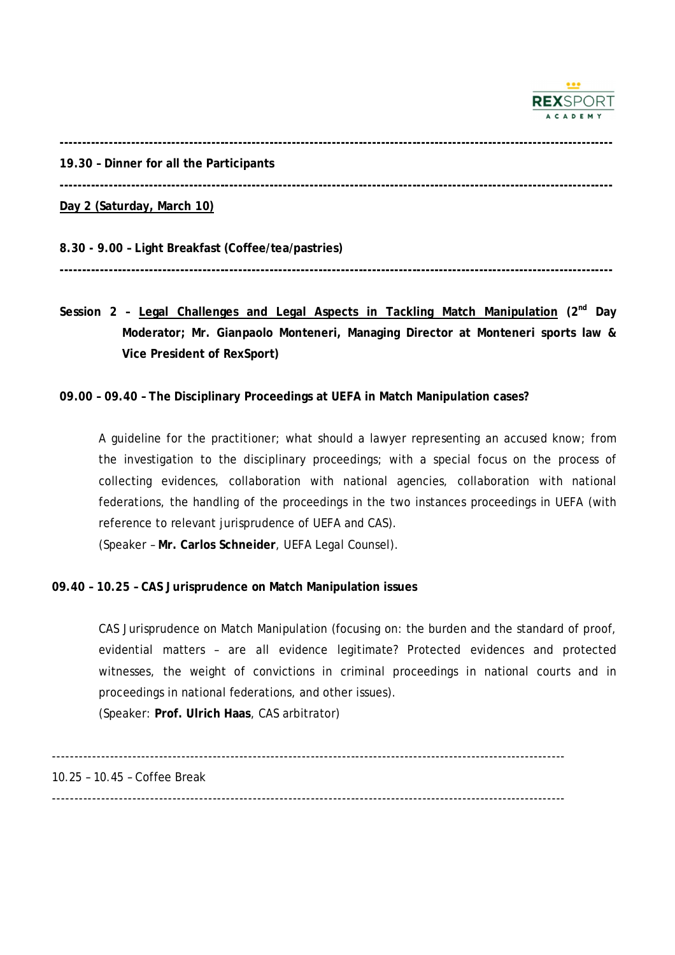

**----------------------------------------------------------------------------------------------------------------------------**

**19.30 – Dinner for all the Participants**

**----------------------------------------------------------------------------------------------------------------------------**

**Day 2 (Saturday, March 10)**

**8.30 - 9.00 – Light Breakfast (Coffee/tea/pastries)**

**----------------------------------------------------------------------------------------------------------------------------**

**Session 2 – Legal Challenges and Legal Aspects in Tackling Match Manipulation (2 nd Day Moderator; Mr. Gianpaolo Monteneri, Managing Director at Monteneri sports law & Vice President of RexSport)**

## **09.00 – 09.40 – The Disciplinary Proceedings at UEFA in Match Manipulation cases?**

A guideline for the practitioner; what should a lawyer representing an accused know; from the investigation to the disciplinary proceedings; with a special focus on the process of collecting evidences, collaboration with national agencies, collaboration with national federations, the handling of the proceedings in the two instances proceedings in UEFA (with reference to relevant jurisprudence of UEFA and CAS).

(Speaker – **Mr. Carlos Schneider**, UEFA Legal Counsel).

# **09.40 – 10.25 – CAS Jurisprudence on Match Manipulation issues**

CAS Jurisprudence on Match Manipulation (focusing on: the burden and the standard of proof, evidential matters – are all evidence legitimate? Protected evidences and protected witnesses, the weight of convictions in criminal proceedings in national courts and in proceedings in national federations, and other issues). (Speaker: **Prof. Ulrich Haas**, CAS arbitrator)

-------------------------------------------------------------------------------------------------------------------

10.25 – 10.45 – Coffee Break

-------------------------------------------------------------------------------------------------------------------